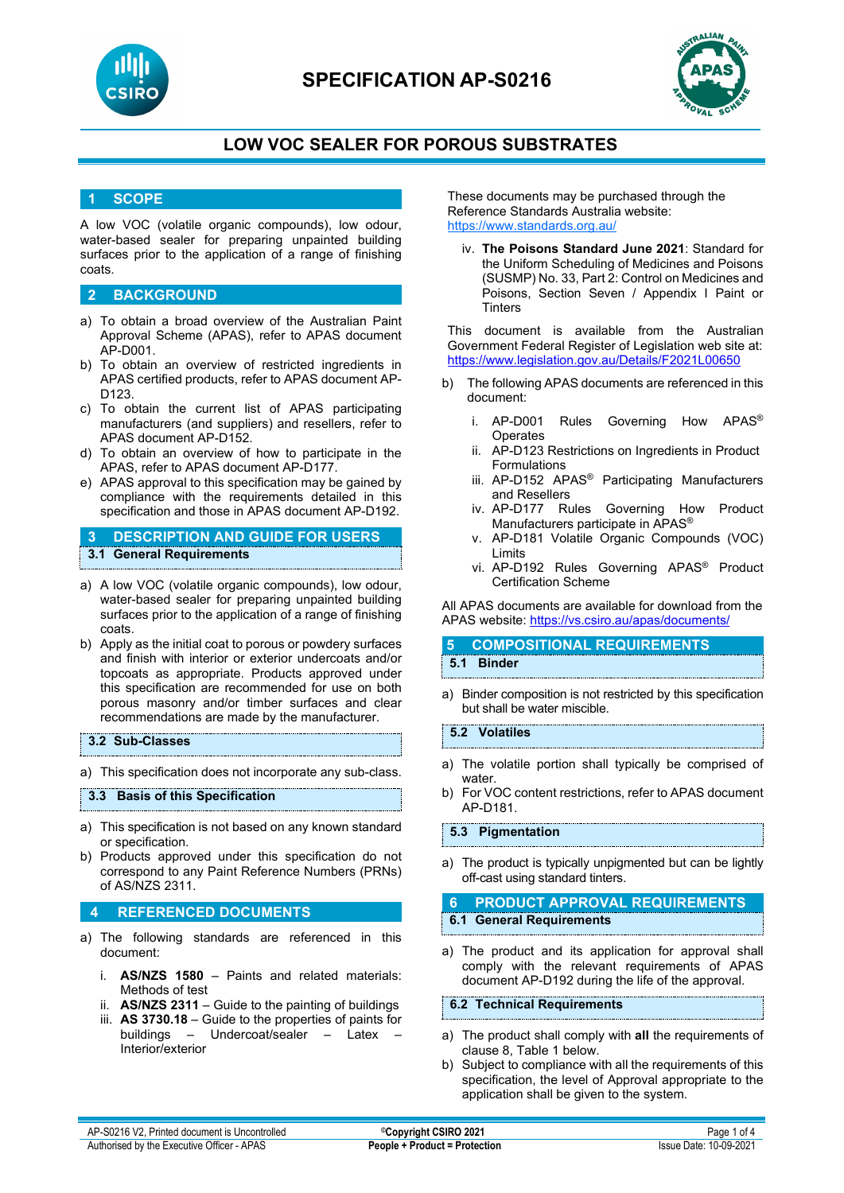



# **LOW VOC SEALER FOR POROUS SUBSTRATES**

### **1 SCOPE**

A low VOC (volatile organic compounds), low odour, water-based sealer for preparing unpainted building surfaces prior to the application of a range of finishing coats.

### **2 BACKGROUND**

- a) To obtain a broad overview of the Australian Paint Approval Scheme (APAS), refer to APAS document AP-D001.
- b) To obtain an overview of restricted ingredients in APAS certified products, refer to APAS document AP-D123.
- c) To obtain the current list of APAS participating manufacturers (and suppliers) and resellers, refer to APAS document AP-D152.
- d) To obtain an overview of how to participate in the APAS, refer to APAS document AP-D177.
- e) APAS approval to this specification may be gained by compliance with the requirements detailed in this specification and those in APAS document AP-D192.

### **3 DESCRIPTION AND GUIDE FOR USERS 3.1 General Requirements**

- a) A low VOC (volatile organic compounds), low odour, water-based sealer for preparing unpainted building surfaces prior to the application of a range of finishing coats.
- b) Apply as the initial coat to porous or powdery surfaces and finish with interior or exterior undercoats and/or topcoats as appropriate. Products approved under this specification are recommended for use on both porous masonry and/or timber surfaces and clear recommendations are made by the manufacturer.

#### **3.2 Sub-Classes**

a) This specification does not incorporate any sub-class.

#### **3.3 Basis of this Specification**

- a) This specification is not based on any known standard or specification.
- b) Products approved under this specification do not correspond to any Paint Reference Numbers (PRNs) of AS/NZS 2311.

#### **4 REFERENCED DOCUMENTS**

- a) The following standards are referenced in this document:
	- i. **AS/NZS 1580** Paints and related materials: Methods of test
	- ii. **AS/NZS 2311**  Guide to the painting of buildings
	- iii. **AS 3730.18** Guide to the properties of paints for buildings – Undercoat/sealer – Latex Interior/exterior

These documents may be purchased through the Reference Standards Australia website: <https://www.standards.org.au/>

iv. **The Poisons Standard June 2021**: Standard for the Uniform Scheduling of Medicines and Poisons (SUSMP) No. 33, Part 2: Control on Medicines and Poisons, Section Seven / Appendix I Paint or **Tinters** 

This document is available from the Australian Government Federal Register of Legislation web site at: <https://www.legislation.gov.au/Details/F2021L00650>

- b) The following APAS documents are referenced in this document:
	- i. AP-D001 Rules Governing How APAS® **Operates**
	- ii. AP-D123 Restrictions on Ingredients in Product Formulations
	- iii. AP-D152 APAS® Participating Manufacturers and Resellers
	- iv. AP-D177 Rules Governing How Product Manufacturers participate in APAS®
	- v. AP-D181 Volatile Organic Compounds (VOC) Limits
	- vi. AP-D192 Rules Governing APAS® Product Certification Scheme

All APAS documents are available for download from the APAS website: <https://vs.csiro.au/apas/documents/>

#### **5 COMPOSITIONAL REQUIREMENTS 5.1 Binder**

a) Binder composition is not restricted by this specification but shall be water miscible.

#### **5.2 Volatiles**

- a) The volatile portion shall typically be comprised of water.
- b) For VOC content restrictions, refer to APAS document AP-D181.

**5.3 Pigmentation**

a) The product is typically unpigmented but can be lightly off-cast using standard tinters.

**6 PRODUCT APPROVAL REQUIREMENTS 6.1 General Requirements**

a) The product and its application for approval shall comply with the relevant requirements of APAS document AP-D192 during the life of the approval.

#### **6.2 Technical Requirements**

- a) The product shall comply with **all** the requirements of clause 8, Table 1 below.
- b) Subject to compliance with all the requirements of this specification, the level of Approval appropriate to the application shall be given to the system.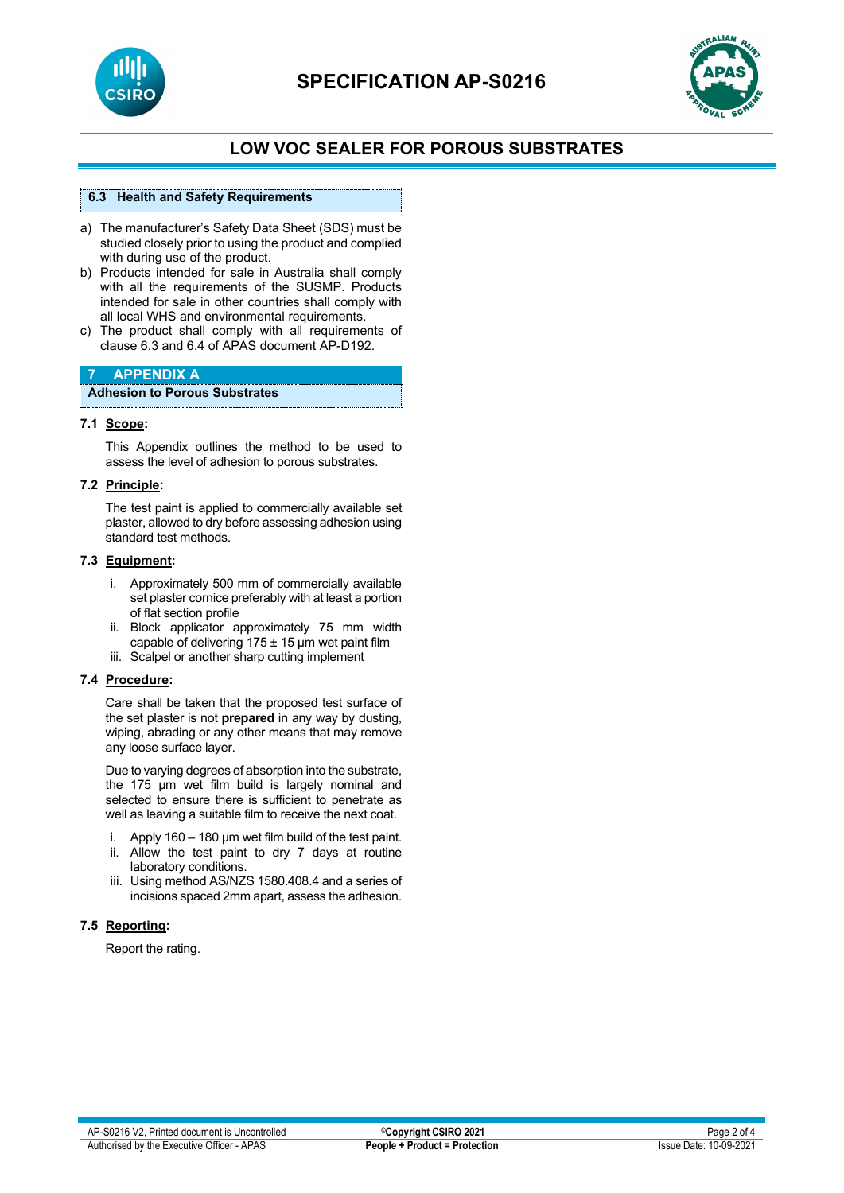



# **LOW VOC SEALER FOR POROUS SUBSTRATES**

### **6.3 Health and Safety Requirements**

- a) The manufacturer's Safety Data Sheet (SDS) must be studied closely prior to using the product and complied with during use of the product.
- b) Products intended for sale in Australia shall comply with all the requirements of the SUSMP. Products intended for sale in other countries shall comply with all local WHS and environmental requirements.
- c) The product shall comply with all requirements of clause 6.3 and 6.4 of APAS document AP-D192.

### **7 APPENDIX A**

**Adhesion to Porous Substrates**

#### **7.1 Scope:**

This Appendix outlines the method to be used to assess the level of adhesion to porous substrates.

#### **7.2 Principle:**

The test paint is applied to commercially available set plaster, allowed to dry before assessing adhesion using standard test methods.

#### **7.3 Equipment:**

- i. Approximately 500 mm of commercially available set plaster cornice preferably with at least a portion of flat section profile
- ii. Block applicator approximately 75 mm width capable of delivering  $175 \pm 15$  µm wet paint film
- iii. Scalpel or another sharp cutting implement

#### **7.4 Procedure:**

Care shall be taken that the proposed test surface of the set plaster is not **prepared** in any way by dusting, wiping, abrading or any other means that may remove any loose surface layer.

Due to varying degrees of absorption into the substrate, the 175 µm wet film build is largely nominal and selected to ensure there is sufficient to penetrate as well as leaving a suitable film to receive the next coat.

- Apply 160 180  $\mu$ m wet film build of the test paint.
- ii. Allow the test paint to dry 7 days at routine laboratory conditions.
- iii. Using method AS/NZS 1580.408.4 and a series of incisions spaced 2mm apart, assess the adhesion.

#### **7.5 Reporting:**

Report the rating.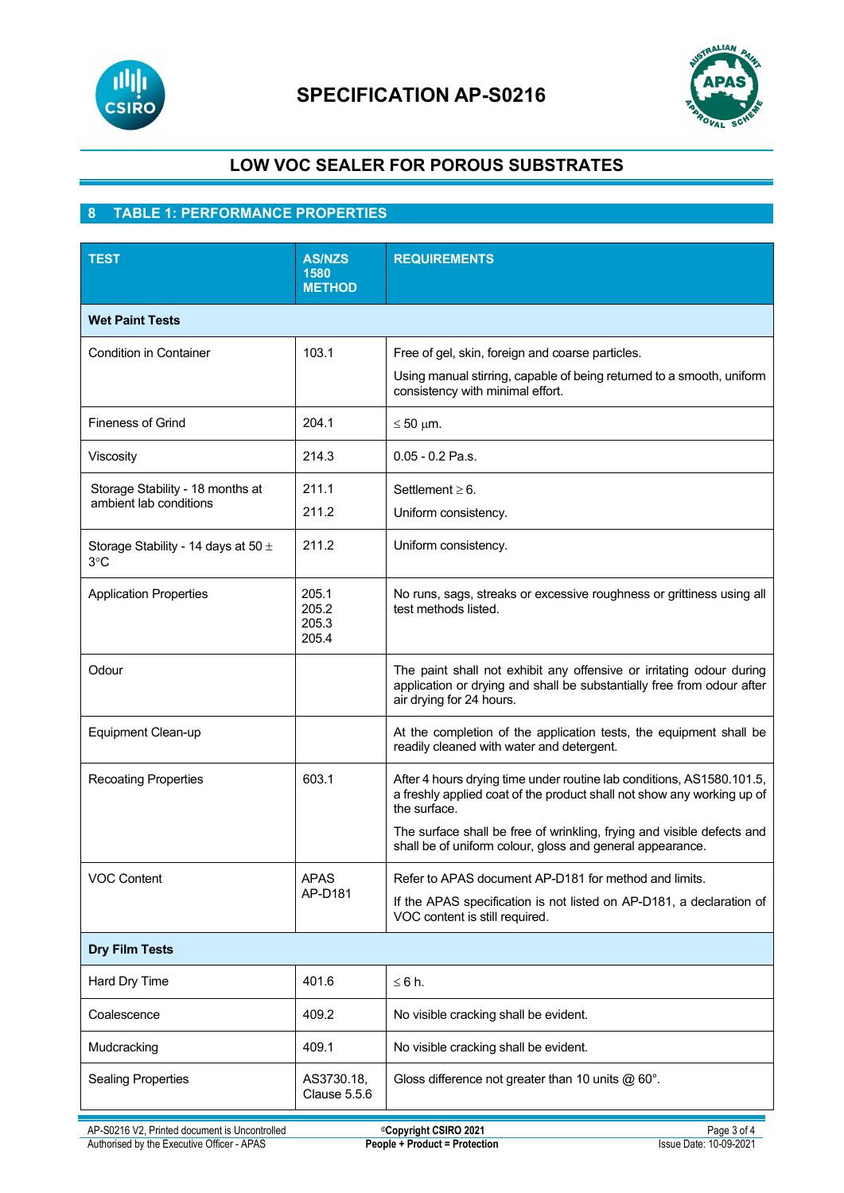

# **SPECIFICATION AP-S0216**



# **LOW VOC SEALER FOR POROUS SUBSTRATES**

## **8 TABLE 1: PERFORMANCE PROPERTIES**

| <b>TEST</b>                                                | <b>AS/NZS</b><br>1580<br><b>METHOD</b> | <b>REQUIREMENTS</b>                                                                                                                                                                                                                       |  |  |
|------------------------------------------------------------|----------------------------------------|-------------------------------------------------------------------------------------------------------------------------------------------------------------------------------------------------------------------------------------------|--|--|
| <b>Wet Paint Tests</b>                                     |                                        |                                                                                                                                                                                                                                           |  |  |
| <b>Condition in Container</b>                              | 103.1                                  | Free of gel, skin, foreign and coarse particles.<br>Using manual stirring, capable of being returned to a smooth, uniform<br>consistency with minimal effort.                                                                             |  |  |
| <b>Fineness of Grind</b>                                   | 204.1                                  | $\leq 50$ µm.                                                                                                                                                                                                                             |  |  |
| Viscosity                                                  | 214.3                                  | $0.05 - 0.2$ Pa.s.                                                                                                                                                                                                                        |  |  |
| Storage Stability - 18 months at<br>ambient lab conditions | 211.1<br>211.2                         | Settlement $\geq 6$ .<br>Uniform consistency.                                                                                                                                                                                             |  |  |
| Storage Stability - 14 days at 50 $\pm$<br>3°C             | 211.2                                  | Uniform consistency.                                                                                                                                                                                                                      |  |  |
| <b>Application Properties</b>                              | 205.1<br>205.2<br>205.3<br>205.4       | No runs, sags, streaks or excessive roughness or grittiness using all<br>test methods listed.                                                                                                                                             |  |  |
| Odour                                                      |                                        | The paint shall not exhibit any offensive or irritating odour during<br>application or drying and shall be substantially free from odour after<br>air drying for 24 hours.                                                                |  |  |
| Equipment Clean-up                                         |                                        | At the completion of the application tests, the equipment shall be<br>readily cleaned with water and detergent.                                                                                                                           |  |  |
| <b>Recoating Properties</b>                                | 603.1                                  | After 4 hours drying time under routine lab conditions, AS1580.101.5,<br>a freshly applied coat of the product shall not show any working up of<br>the surface.<br>The surface shall be free of wrinkling, frying and visible defects and |  |  |
|                                                            |                                        | shall be of uniform colour, gloss and general appearance.                                                                                                                                                                                 |  |  |
| <b>VOC Content</b>                                         | <b>APAS</b><br>AP-D181                 | Refer to APAS document AP-D181 for method and limits.<br>If the APAS specification is not listed on AP-D181, a declaration of<br>VOC content is still required.                                                                           |  |  |
| <b>Dry Film Tests</b>                                      |                                        |                                                                                                                                                                                                                                           |  |  |
| Hard Dry Time                                              | 401.6                                  | $\leq 6$ h.                                                                                                                                                                                                                               |  |  |
| Coalescence                                                | 409.2                                  | No visible cracking shall be evident.                                                                                                                                                                                                     |  |  |
| Mudcracking                                                | 409.1                                  | No visible cracking shall be evident.                                                                                                                                                                                                     |  |  |
| <b>Sealing Properties</b>                                  | AS3730.18,<br><b>Clause 5.5.6</b>      | Gloss difference not greater than 10 units $@60°$ .                                                                                                                                                                                       |  |  |